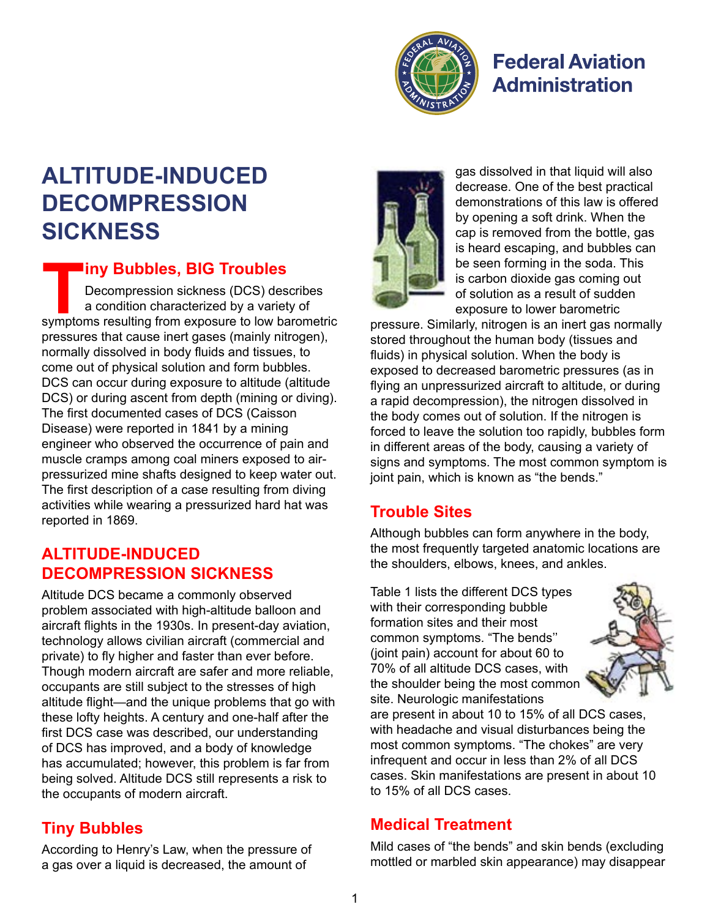

# **Federal Aviation Administration**

# **ALTITUDE-INDUCED DECOMPRESSION SICKNESS**

**Tiny Bubbles, BIG Troubles**

Decompression sickness (DCS) describes a condition characterized by a variety of symptoms resulting from exposure to low barometric pressures that cause inert gases (mainly nitrogen), normally dissolved in body fluids and tissues, to come out of physical solution and form bubbles. DCS can occur during exposure to altitude (altitude DCS) or during ascent from depth (mining or diving). The first documented cases of DCS (Caisson Disease) were reported in 1841 by a mining engineer who observed the occurrence of pain and muscle cramps among coal miners exposed to airpressurized mine shafts designed to keep water out. The first description of a case resulting from diving activities while wearing a pressurized hard hat was reported in 1869.

#### **ALTITUDE-INDUCED DECOMPRESSION SICKNESS**

Altitude DCS became a commonly observed problem associated with high-altitude balloon and aircraft flights in the 1930s. In present-day aviation, technology allows civilian aircraft (commercial and private) to fly higher and faster than ever before. Though modern aircraft are safer and more reliable, occupants are still subject to the stresses of high altitude flight—and the unique problems that go with these lofty heights. A century and one-half after the first DCS case was described, our understanding of DCS has improved, and a body of knowledge has accumulated; however, this problem is far from being solved. Altitude DCS still represents a risk to the occupants of modern aircraft.

### **Tiny Bubbles**

According to Henry's Law, when the pressure of a gas over a liquid is decreased, the amount of



gas dissolved in that liquid will also decrease. One of the best practical demonstrations of this law is offered by opening a soft drink. When the cap is removed from the bottle, gas is heard escaping, and bubbles can be seen forming in the soda. This is carbon dioxide gas coming out of solution as a result of sudden exposure to lower barometric

pressure. Similarly, nitrogen is an inert gas normally stored throughout the human body (tissues and fluids) in physical solution. When the body is exposed to decreased barometric pressures (as in flying an unpressurized aircraft to altitude, or during a rapid decompression), the nitrogen dissolved in the body comes out of solution. If the nitrogen is forced to leave the solution too rapidly, bubbles form in different areas of the body, causing a variety of signs and symptoms. The most common symptom is joint pain, which is known as "the bends."

## **Trouble Sites**

Although bubbles can form anywhere in the body, the most frequently targeted anatomic locations are the shoulders, elbows, knees, and ankles.

Table 1 lists the different DCS types with their corresponding bubble formation sites and their most common symptoms. "The bends'' (joint pain) account for about 60 to 70% of all altitude DCS cases, with the shoulder being the most common site. Neurologic manifestations



are present in about 10 to 15% of all DCS cases, with headache and visual disturbances being the most common symptoms. "The chokes" are very infrequent and occur in less than 2% of all DCS cases. Skin manifestations are present in about 10 to 15% of all DCS cases.

### **Medical Treatment**

Mild cases of "the bends" and skin bends (excluding mottled or marbled skin appearance) may disappear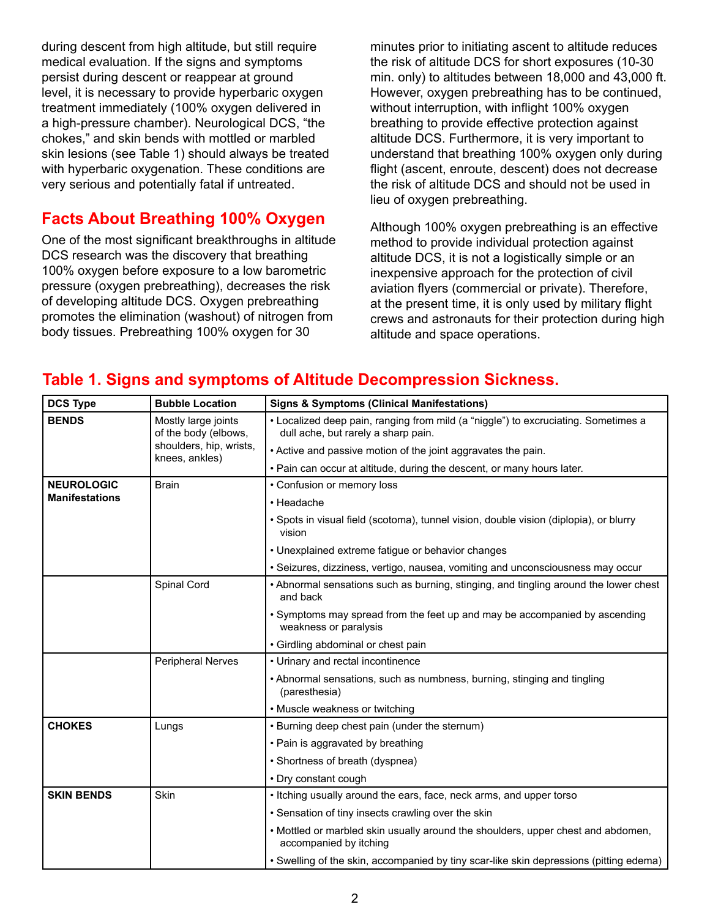during descent from high altitude, but still require medical evaluation. If the signs and symptoms persist during descent or reappear at ground level, it is necessary to provide hyperbaric oxygen treatment immediately (100% oxygen delivered in a high-pressure chamber). Neurological DCS, "the chokes," and skin bends with mottled or marbled skin lesions (see Table 1) should always be treated with hyperbaric oxygenation. These conditions are very serious and potentially fatal if untreated.

#### **Facts About Breathing 100% Oxygen**

One of the most significant breakthroughs in altitude DCS research was the discovery that breathing 100% oxygen before exposure to a low barometric pressure (oxygen prebreathing), decreases the risk of developing altitude DCS. Oxygen prebreathing promotes the elimination (washout) of nitrogen from body tissues. Prebreathing 100% oxygen for 30

minutes prior to initiating ascent to altitude reduces the risk of altitude DCS for short exposures (10-30 min. only) to altitudes between 18,000 and 43,000 ft. However, oxygen prebreathing has to be continued, without interruption, with inflight 100% oxygen breathing to provide effective protection against altitude DCS. Furthermore, it is very important to understand that breathing 100% oxygen only during flight (ascent, enroute, descent) does not decrease the risk of altitude DCS and should not be used in lieu of oxygen prebreathing.

Although 100% oxygen prebreathing is an effective method to provide individual protection against altitude DCS, it is not a logistically simple or an inexpensive approach for the protection of civil aviation flyers (commercial or private). Therefore, at the present time, it is only used by military flight crews and astronauts for their protection during high altitude and space operations.

#### **Table 1. Signs and symptoms of Altitude Decompression Sickness.**

| <b>DCS Type</b>                            | <b>Bubble Location</b>                                                                   | <b>Signs &amp; Symptoms (Clinical Manifestations)</b>                                                                     |
|--------------------------------------------|------------------------------------------------------------------------------------------|---------------------------------------------------------------------------------------------------------------------------|
| <b>BENDS</b>                               | Mostly large joints<br>of the body (elbows,<br>shoulders, hip, wrists,<br>knees, ankles) | • Localized deep pain, ranging from mild (a "niggle") to excruciating. Sometimes a<br>dull ache, but rarely a sharp pain. |
|                                            |                                                                                          | • Active and passive motion of the joint aggravates the pain.                                                             |
|                                            |                                                                                          | • Pain can occur at altitude, during the descent, or many hours later.                                                    |
| <b>NEUROLOGIC</b><br><b>Manifestations</b> | <b>Brain</b>                                                                             | • Confusion or memory loss                                                                                                |
|                                            |                                                                                          | • Headache                                                                                                                |
|                                            |                                                                                          | · Spots in visual field (scotoma), tunnel vision, double vision (diplopia), or blurry<br>vision                           |
|                                            |                                                                                          | • Unexplained extreme fatigue or behavior changes                                                                         |
|                                            |                                                                                          | • Seizures, dizziness, vertigo, nausea, vomiting and unconsciousness may occur                                            |
|                                            | Spinal Cord                                                                              | • Abnormal sensations such as burning, stinging, and tingling around the lower chest<br>and back                          |
|                                            |                                                                                          | • Symptoms may spread from the feet up and may be accompanied by ascending<br>weakness or paralysis                       |
|                                            |                                                                                          | · Girdling abdominal or chest pain                                                                                        |
|                                            | Peripheral Nerves                                                                        | • Urinary and rectal incontinence                                                                                         |
|                                            |                                                                                          | • Abnormal sensations, such as numbness, burning, stinging and tingling<br>(paresthesia)                                  |
|                                            |                                                                                          | • Muscle weakness or twitching                                                                                            |
| <b>CHOKES</b>                              | Lungs                                                                                    | • Burning deep chest pain (under the sternum)                                                                             |
|                                            |                                                                                          | • Pain is aggravated by breathing                                                                                         |
|                                            |                                                                                          | • Shortness of breath (dyspnea)                                                                                           |
|                                            |                                                                                          | • Dry constant cough                                                                                                      |
| <b>SKIN BENDS</b>                          | Skin                                                                                     | • Itching usually around the ears, face, neck arms, and upper torso                                                       |
|                                            |                                                                                          | • Sensation of tiny insects crawling over the skin                                                                        |
|                                            |                                                                                          | • Mottled or marbled skin usually around the shoulders, upper chest and abdomen,<br>accompanied by itching                |
|                                            |                                                                                          | . Swelling of the skin, accompanied by tiny scar-like skin depressions (pitting edema)                                    |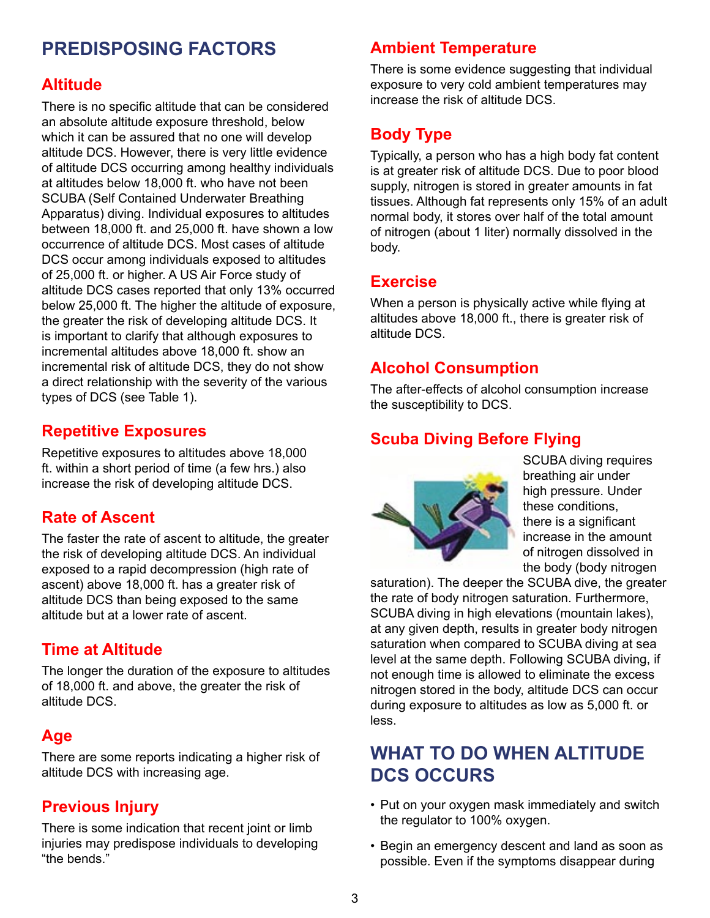# **PREDISPOSING FACTORS**

#### **Altitude**

There is no specific altitude that can be considered an absolute altitude exposure threshold, below which it can be assured that no one will develop altitude DCS. However, there is very little evidence of altitude DCS occurring among healthy individuals at altitudes below 18,000 ft. who have not been SCUBA (Self Contained Underwater Breathing Apparatus) diving. Individual exposures to altitudes between 18,000 ft. and 25,000 ft. have shown a low occurrence of altitude DCS. Most cases of altitude DCS occur among individuals exposed to altitudes of 25,000 ft. or higher. A US Air Force study of altitude DCS cases reported that only 13% occurred below 25,000 ft. The higher the altitude of exposure, the greater the risk of developing altitude DCS. It is important to clarify that although exposures to incremental altitudes above 18,000 ft. show an incremental risk of altitude DCS, they do not show a direct relationship with the severity of the various types of DCS (see Table 1).

### **Repetitive Exposures**

Repetitive exposures to altitudes above 18,000 ft. within a short period of time (a few hrs.) also increase the risk of developing altitude DCS.

### **Rate of Ascent**

The faster the rate of ascent to altitude, the greater the risk of developing altitude DCS. An individual exposed to a rapid decompression (high rate of ascent) above 18,000 ft. has a greater risk of altitude DCS than being exposed to the same altitude but at a lower rate of ascent.

#### **Time at Altitude**

The longer the duration of the exposure to altitudes of 18,000 ft. and above, the greater the risk of altitude DCS.

## **Age**

There are some reports indicating a higher risk of altitude DCS with increasing age.

### **Previous Injury**

There is some indication that recent joint or limb injuries may predispose individuals to developing "the bends."

#### **Ambient Temperature**

There is some evidence suggesting that individual exposure to very cold ambient temperatures may increase the risk of altitude DCS.

### **Body Type**

Typically, a person who has a high body fat content is at greater risk of altitude DCS. Due to poor blood supply, nitrogen is stored in greater amounts in fat tissues. Although fat represents only 15% of an adult normal body, it stores over half of the total amount of nitrogen (about 1 liter) normally dissolved in the body.

#### **Exercise**

When a person is physically active while flying at altitudes above 18,000 ft., there is greater risk of altitude DCS.

#### **Alcohol Consumption**

The after-effects of alcohol consumption increase the susceptibility to DCS.

# **Scuba Diving Before Flying**



SCUBA diving requires breathing air under high pressure. Under these conditions, there is a significant increase in the amount of nitrogen dissolved in the body (body nitrogen

saturation). The deeper the SCUBA dive, the greater the rate of body nitrogen saturation. Furthermore, SCUBA diving in high elevations (mountain lakes), at any given depth, results in greater body nitrogen saturation when compared to SCUBA diving at sea level at the same depth. Following SCUBA diving, if not enough time is allowed to eliminate the excess nitrogen stored in the body, altitude DCS can occur during exposure to altitudes as low as 5,000 ft. or less.

# **WHAT TO DO WHEN ALTITUDE DCS OCCURS**

- Put on your oxygen mask immediately and switch the regulator to 100% oxygen.
- Begin an emergency descent and land as soon as possible. Even if the symptoms disappear during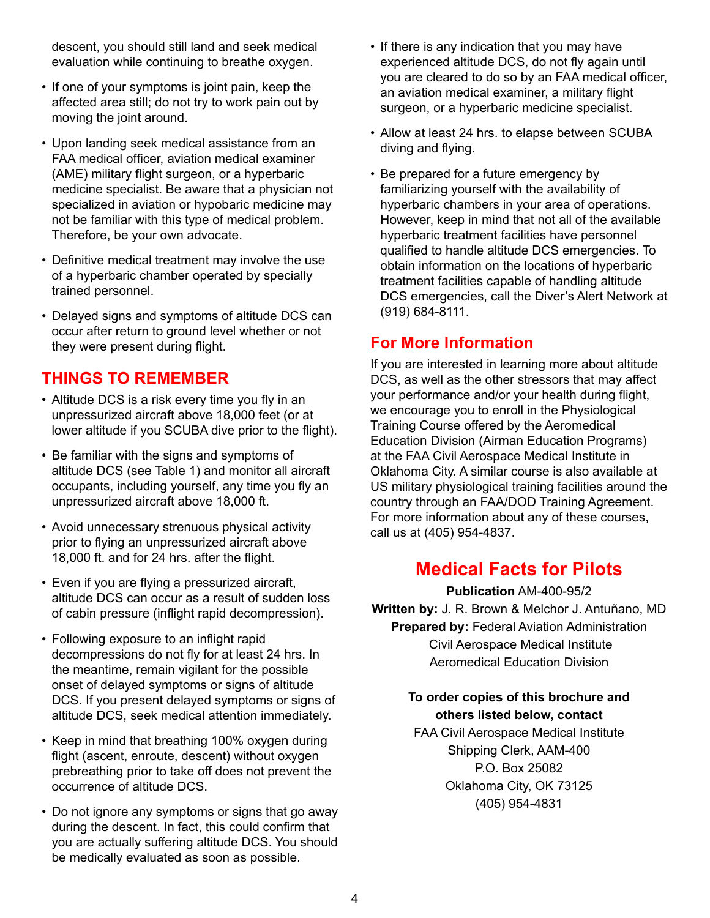descent, you should still land and seek medical evaluation while continuing to breathe oxygen.

- If one of your symptoms is joint pain, keep the affected area still; do not try to work pain out by moving the joint around.
- Upon landing seek medical assistance from an FAA medical officer, aviation medical examiner (AME) military flight surgeon, or a hyperbaric medicine specialist. Be aware that a physician not specialized in aviation or hypobaric medicine may not be familiar with this type of medical problem. Therefore, be your own advocate.
- Definitive medical treatment may involve the use of a hyperbaric chamber operated by specially trained personnel.
- Delayed signs and symptoms of altitude DCS can occur after return to ground level whether or not they were present during flight.

#### **THINGS TO REMEMBER**

- Altitude DCS is a risk every time you fly in an unpressurized aircraft above 18,000 feet (or at lower altitude if you SCUBA dive prior to the flight).
- Be familiar with the signs and symptoms of altitude DCS (see Table 1) and monitor all aircraft occupants, including yourself, any time you fly an unpressurized aircraft above 18,000 ft.
- Avoid unnecessary strenuous physical activity prior to flying an unpressurized aircraft above 18,000 ft. and for 24 hrs. after the flight.
- Even if you are flying a pressurized aircraft, altitude DCS can occur as a result of sudden loss of cabin pressure (inflight rapid decompression).
- Following exposure to an inflight rapid decompressions do not fly for at least 24 hrs. In the meantime, remain vigilant for the possible onset of delayed symptoms or signs of altitude DCS. If you present delayed symptoms or signs of altitude DCS, seek medical attention immediately.
- Keep in mind that breathing 100% oxygen during flight (ascent, enroute, descent) without oxygen prebreathing prior to take off does not prevent the occurrence of altitude DCS.
- Do not ignore any symptoms or signs that go away during the descent. In fact, this could confirm that you are actually suffering altitude DCS. You should be medically evaluated as soon as possible.
- If there is any indication that you may have experienced altitude DCS, do not fly again until you are cleared to do so by an FAA medical officer, an aviation medical examiner, a military flight surgeon, or a hyperbaric medicine specialist.
- Allow at least 24 hrs. to elapse between SCUBA diving and flying.
- Be prepared for a future emergency by familiarizing yourself with the availability of hyperbaric chambers in your area of operations. However, keep in mind that not all of the available hyperbaric treatment facilities have personnel qualified to handle altitude DCS emergencies. To obtain information on the locations of hyperbaric treatment facilities capable of handling altitude DCS emergencies, call the Diver's Alert Network at (919) 684-8111.

### **For More Information**

If you are interested in learning more about altitude DCS, as well as the other stressors that may affect your performance and/or your health during flight, we encourage you to enroll in the Physiological Training Course offered by the Aeromedical Education Division (Airman Education Programs) at the FAA Civil Aerospace Medical Institute in Oklahoma City. A similar course is also available at US military physiological training facilities around the country through an FAA/DOD Training Agreement. For more information about any of these courses, call us at (405) 954-4837.

# **Medical Facts for Pilots**

**Publication** AM-400-95/2 **Written by:** J. R. Brown & Melchor J. Antuñano, MD **Prepared by:** Federal Aviation Administration Civil Aerospace Medical Institute Aeromedical Education Division

#### **To order copies of this brochure and others listed below, contact**

FAA Civil Aerospace Medical Institute Shipping Clerk, AAM-400 P.O. Box 25082 Oklahoma City, OK 73125 (405) 954-4831